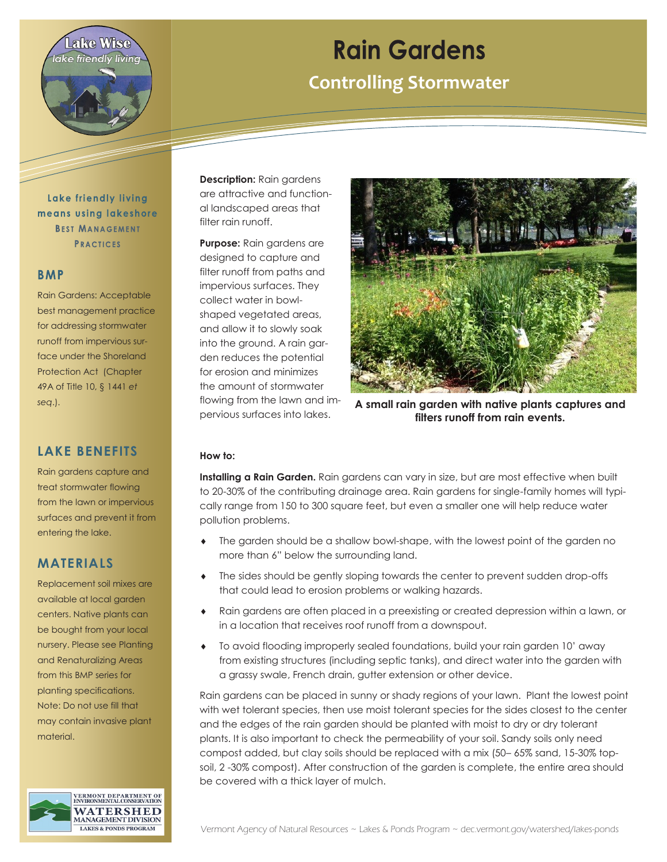

# **Rain Gardens**

**Controlling Stormwater**

Lake friendly living means using lakeshore **BEST MANAGEMENT PRACTICES** 

### **BMP**

Rain Gardens: Acceptable best management practice for addressing stormwater runoff from impervious surface under the Shoreland Protection Act (Chapter 49A of Title 10, § 1441 *et seq*.).

## **LAKE BENEFITS**

Rain gardens capture and treat stormwater flowing from the lawn or impervious surfaces and prevent it from entering the lake.

## **MATERIALS**

Replacement soil mixes are available at local garden centers. Native plants can be bought from your local nursery. Please see Planting and Renaturalizing Areas from this BMP series for planting specifications. Note: Do not use fill that may contain invasive plant material.



**Description:** Rain gardens are attractive and functional landscaped areas that filter rain runoff.

**Purpose:** Rain gardens are designed to capture and filter runoff from paths and impervious surfaces. They collect water in bowlshaped vegetated areas, and allow it to slowly soak into the ground. A rain garden reduces the potential for erosion and minimizes the amount of stormwater flowing from the lawn and impervious surfaces into lakes.



**A small rain garden with native plants captures and filters runoff from rain events.** 

#### **How to:**

**Installing a Rain Garden.** Rain gardens can vary in size, but are most effective when built to 20-30% of the contributing drainage area. Rain gardens for single-family homes will typically range from 150 to 300 square feet, but even a smaller one will help reduce water pollution problems.

- The garden should be a shallow bowl-shape, with the lowest point of the garden no more than 6" below the surrounding land.
- The sides should be gently sloping towards the center to prevent sudden drop-offs that could lead to erosion problems or walking hazards.
- Rain gardens are often placed in a preexisting or created depression within a lawn, or in a location that receives roof runoff from a downspout.
- To avoid flooding improperly sealed foundations, build your rain garden 10' away from existing structures (including septic tanks), and direct water into the garden with a grassy swale, French drain, gutter extension or other device.

Rain gardens can be placed in sunny or shady regions of your lawn. Plant the lowest point with wet tolerant species, then use moist tolerant species for the sides closest to the center and the edges of the rain garden should be planted with moist to dry or dry tolerant plants. It is also important to check the permeability of your soil. Sandy soils only need compost added, but clay soils should be replaced with a mix (50– 65% sand, 15-30% topsoil, 2 -30% compost). After construction of the garden is complete, the entire area should be covered with a thick layer of mulch.